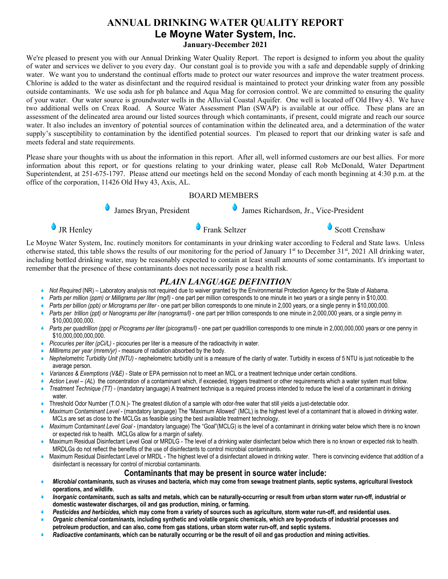# **ANNUAL DRINKING WATER QUALITY REPORT Le Moyne Water System, Inc. January-December 2021**

We're pleased to present you with our Annual Drinking Water Quality Report. The report is designed to inform you about the quality of water and services we deliver to you every day. Our constant goal is to provide you with a safe and dependable supply of drinking water. We want you to understand the continual efforts made to protect our water resources and improve the water treatment process. Chlorine is added to the water as disinfectant and the required residual is maintained to protect your drinking water from any possible outside contaminants. We use soda ash for ph balance and Aqua Mag for corrosion control. We are committed to ensuring the quality of your water. Our water source is groundwater wells in the Alluvial Coastal Aquifer. One well is located off Old Hwy 43. We have two additional wells on Creax Road. A Source Water Assessment Plan (SWAP) is available at our office. These plans are an assessment of the delineated area around our listed sources through which contaminants, if present, could migrate and reach our source water. It also includes an inventory of potential sources of contamination within the delineated area, and a determination of the water supply's susceptibility to contamination by the identified potential sources. I'm pleased to report that our drinking water is safe and meets federal and state requirements.

Please share your thoughts with us about the information in this report. After all, well informed customers are our best allies. For more information about this report, or for questions relating to your drinking water, please call Rob McDonald, Water Department Superintendent, at 251-675-1797. Please attend our meetings held on the second Monday of each month beginning at 4:30 p.m. at the office of the corporation, 11426 Old Hwy 43, Axis, AL.

### BOARD MEMBERS

James Bryan, President  $\bullet$  James Richardson, Jr., Vice-President

**IR Henley CONTACTER SELTER SELTER SELTING SCOTT SERVICES** SCOTT SERVICES SCOTT SERVICES SCOTT SERVICES SCOTT SERVICES SCOTT SERVICES SCOTT SERVICES SCOTT SERVICES SCOTT SERVICES SCOTT SERVICES SCOTT SERVICES SCOTT SERVICE

Le Moyne Water System, Inc. routinely monitors for contaminants in your drinking water according to Federal and State laws. Unless otherwise stated, this table shows the results of our monitoring for the period of January 1<sup>st</sup> to December 31<sup>st</sup>, 2021 All drinking water, including bottled drinking water, may be reasonably expected to contain at least small amounts of some contaminants. It's important to remember that the presence of these contaminants does not necessarily pose a health risk.

# *PLAIN LANGUAGE DEFINITION*

- *Not Required* (NR) Laboratory analysis not required due to waiver granted by the Environmental Protection Agency for the State of Alabama.
- *Parts per million (ppm) or Milligrams per liter (mg/l)* one part per million corresponds to one minute in two years or a single penny in \$10,000.
- *Parts per billion (ppb) or Micrograms per liter* one part per billion corresponds to one minute in 2,000 years, or a single penny in \$10,000,000.
- *Parts per trillion (ppt) or Nanograms per liter (nanograms/l)* one part per trillion corresponds to one minute in 2,000,000 years, or a single penny in \$10,000,000,000.
- *Parts per quadrillion (ppq) or Picograms per liter (picograms/l)* one part per quadrillion corresponds to one minute in 2,000,000,000 years or one penny in \$10,000,000,000,000.
- *Picocuries per liter (pCi/L)* picocuries per liter is a measure of the radioactivity in water.
- *Millirems per year (mrem/yr)* measure of radiation absorbed by the body.
- *Nephelometric Turbidity Unit (NTU)* nephelometric turbidity unit is a measure of the clarity of water. Turbidity in excess of 5 NTU is just noticeable to the average person.
- *Variances & Exemptions (V&E)* State or EPA permission not to meet an MCL or a treatment technique under certain conditions.
- *Action Level (AL*) the concentration of a contaminant which, if exceeded, triggers treatment or other requirements which a water system must follow.
- *Treatment Technique (TT)* (mandatory language) A treatment technique is a required process intended to reduce the level of a contaminant in drinking water.
- Threshold Odor Number (T.O.N.)- The greatest dilution of a sample with odor-free water that still yields a just-detectable odor.
- *Maximum Contaminant Level* (mandatory language) The "Maximum Allowed" (MCL) is the highest level of a contaminant that is allowed in drinking water. MCLs are set as close to the MCLGs as feasible using the best available treatment technology.
- *Maximum Contaminant Level Goal* (mandatory language) The "Goal"(MCLG) is the level of a contaminant in drinking water below which there is no known or expected risk to health. MCLGs allow for a margin of safety.
- Maximum Residual Disinfectant Level Goal or MRDLG The level of a drinking water disinfectant below which there is no known or expected risk to health. MRDLGs do not reflect the benefits of the use of disinfectants to control microbial contaminants.
- $\bullet$ Maximum Residual Disinfectant Level or MRDL - The highest level of a disinfectant allowed in drinking water. There is convincing evidence that addition of a disinfectant is necessary for control of microbial contaminants.

# **Contaminants that may be present in source water include:**

- *Microbial contaminants,* **such as viruses and bacteria, which may come from sewage treatment plants, septic systems, agricultural livestock operations, and wildlife.**
- *Inorganic contaminants,* **such as salts and metals, which can be naturally-occurring or result from urban storm water run-off, industrial or domestic wastewater discharges, oil and gas production, mining, or farming.**
- *Pesticides and herbicides,* **which may come from a variety of sources such as agriculture, storm water run-off, and residential uses.**
- *Organic chemical contaminants,* **including synthetic and volatile organic chemicals, which are by-products of industrial processes and petroleum production, and can also, come from gas stations, urban storm water run-off, and septic systems.**
- *Radioactive contaminants,* **which can be naturally occurring or be the result of oil and gas production and mining activities.**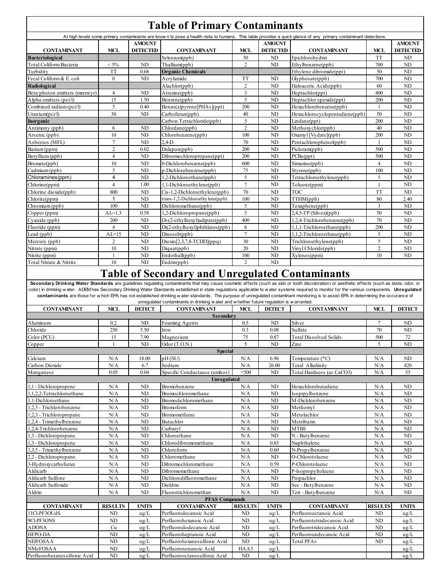|                                              |                     |                       | <b>Table of Primary Contaminants</b>                                                      |                                                                   |                                           |                                                                                                                                                                                                |                         |                       |
|----------------------------------------------|---------------------|-----------------------|-------------------------------------------------------------------------------------------|-------------------------------------------------------------------|-------------------------------------------|------------------------------------------------------------------------------------------------------------------------------------------------------------------------------------------------|-------------------------|-----------------------|
|                                              |                     | <b>AMOUNT</b>         |                                                                                           |                                                                   | <b>AMOUNT</b>                             | At high levels some primary contaminants are known to pose a health risks to humans. This table provides a quick glance of any primary contaminant detections.                                 |                         | <b>AMOUNT</b>         |
| <b>CONTAMINANT</b><br><b>Bacteriological</b> | <b>MCL</b>          | <b>DETECTED</b>       | <b>CONTAMINANT</b><br>Selenium(ppb)                                                       | <b>MCL</b><br>50                                                  | <b>DETECTED</b><br>ND                     | <b>CONTAMINANT</b><br>Epichlorohydrin                                                                                                                                                          | <b>MCL</b><br><b>TT</b> | <b>DETECTED</b><br>ND |
| Total Coliform Bacteria                      | $< 5\%$             | ND                    | Thallium(ppb)                                                                             |                                                                   | $\overline{2}$<br>ND<br>Ethylbenzene(ppb) |                                                                                                                                                                                                | 700                     | ND                    |
| Turbidity                                    | <b>TT</b>           | 0.68                  | <b>Organic Chemicals</b>                                                                  |                                                                   | Ethylene dibromide(ppt)                   |                                                                                                                                                                                                | 50                      | ND                    |
| Fecal Coliform & E. coli                     | $\mathbf{0}$        | ND                    | Acrylamide<br>TT<br>ND<br>Glyphosate(ppb)                                                 |                                                                   | 700                                       | ND                                                                                                                                                                                             |                         |                       |
| Radiological                                 |                     |                       | $\overline{2}$<br>ND<br>Haloacetic Acids(ppb)<br>Alachlor(ppb)                            |                                                                   | 60                                        | N <sub>D</sub>                                                                                                                                                                                 |                         |                       |
| Beta/photon emitters (mrem/yr)               | $\overline{4}$      | ND                    | $\mathfrak{Z}$<br>ND<br>Atrazine(ppb)<br>Heptachlor(ppt)                                  |                                                                   |                                           | 400                                                                                                                                                                                            | ND                      |                       |
| Alpha emitters (pci/l)                       | 15                  | 1.50                  | Benzene(ppb)                                                                              | 5                                                                 | ND                                        | Heptachlor epoxide(ppt)                                                                                                                                                                        | 200                     | ND                    |
| Combined radium (pci/l)                      | 5                   | 0.40                  | 200<br>ND<br>Benzo(a)pyrene[PHAs](ppt)<br>Hexachlorobenzene(ppb)                          |                                                                   |                                           | $\mathbf{1}$                                                                                                                                                                                   | ND                      |                       |
| Uranium(pci/l)<br>Inorganic                  | 30                  | ND                    | 40<br>ND<br>Carbofuran(ppb)<br>5<br>ND<br>Carbon Tetrachloride(ppb)<br>Lindane(ppt)       |                                                                   | Hexachlorocyclopentadiene(ppb)            | 50<br>200                                                                                                                                                                                      | ND<br>N <sub>D</sub>    |                       |
| Antimony (ppb)                               | 6                   | ND                    | $\overline{c}$<br>ND<br>Chlordane(ppb)                                                    |                                                                   | Methoxychlor(ppb)                         | 40                                                                                                                                                                                             | ND                      |                       |
| Arsenic (ppb)                                | 10                  | ND                    | 100<br>ND<br>Chlorobenzene(ppb)<br>Oxamyl [Vydate](ppb)                                   |                                                                   |                                           | 200                                                                                                                                                                                            | ND                      |                       |
| Asbestos (MFL)                               | $\tau$              | ND                    | $2.4-D$<br>70                                                                             |                                                                   | ND                                        | Pentachlorophenol(ppb)                                                                                                                                                                         | $\mathbf{1}$            | ND                    |
| Barium (ppm)                                 | $\overline{2}$      | 0.02                  | Dalapon(ppb)                                                                              | 200<br>ND<br>Picloram(ppb)                                        |                                           |                                                                                                                                                                                                | 500                     | ND                    |
| Beryllium (ppb)                              | $\overline{4}$      | ND                    | Dibromochloropropane(ppt)                                                                 | 200<br>ND<br>PCBs(ppt)                                            |                                           |                                                                                                                                                                                                | 500                     | N <sub>D</sub>        |
| Bromate(ppb)                                 | 10                  | ND                    | 0-Dichlorobenzene(ppb)                                                                    | 600<br>ND<br>Simazine(ppb)                                        |                                           |                                                                                                                                                                                                | $\overline{4}$          | ND                    |
| Cadmium (ppb)                                | 5                   | ND                    | p-Dichlorobenzene(ppb)                                                                    | 75<br>ND<br>Styrene(ppb)                                          |                                           | 100                                                                                                                                                                                            | ND                      |                       |
| Chloramines(ppm)                             | 4                   | ND                    | 1,2-Dichloroethane(ppb)                                                                   | 5                                                                 | ND                                        | Tetrachloroethylene(ppb)                                                                                                                                                                       | 5                       | ND                    |
| Chlorine(ppm)                                | $\overline{4}$      | 1.00                  |                                                                                           | $\overline{7}$<br>ND<br>1,1-Dichloroethylene(ppb)<br>Toluene(ppm) |                                           | 1                                                                                                                                                                                              | N <sub>D</sub>          |                       |
| Chlorine dioxide(ppb)                        | 800<br>$\mathbf{1}$ | ND<br>ND              | Cis-1,2-Dichloroethylene(ppb)<br>trans-1,2-Dichloroethylene(ppb)                          | 70<br>100                                                         | ND<br>ND                                  | <b>TOC</b><br>TTHM(ppb)                                                                                                                                                                        | <b>TT</b><br>80         | ND<br>2.40            |
| Chlorite(ppm)<br>Chromium (ppb)              | 100                 | ND                    | Dichloromethane(ppb)                                                                      | 5                                                                 | ND                                        | Toxaphene(ppb)                                                                                                                                                                                 | 3                       | ND                    |
| Copper (ppm)                                 | $AL=1.3$            | 0.58                  | 1,2-Dichloropropane(ppb)                                                                  | 5                                                                 | N <sub>D</sub>                            | $2,4,5$ -TP (Silvex)(ppb)                                                                                                                                                                      | 50                      | N <sub>D</sub>        |
| Cyanide (ppb)                                | 200                 | ND                    | Di-(2-ethylhexyl)adipate(ppb)                                                             | 400                                                               | ND                                        | 1,2,4-Trichlorobenzene(ppb)                                                                                                                                                                    | 70                      | ND                    |
| Fluoride (ppm)                               | $\overline{4}$      | ND                    | Di(2-ethylhexyl)phthlates(ppb)                                                            | 6                                                                 | ND                                        | 1,1,1-Trichloroethane(ppb)                                                                                                                                                                     | 200                     | ND                    |
| Lead (ppb)                                   | $AL=15$             | ND                    | $\overline{7}$<br>ND<br>1,1,2-Trichloroethane(ppb)<br>Dinoseb(ppb)                        |                                                                   | 5                                         | ND                                                                                                                                                                                             |                         |                       |
| Mercury (ppb)                                | 2                   | ND                    | 30<br>$Dioxin[2,3,7,8-TCDD](ppq)$<br>ND<br>Trichloroethylene(ppb)                         |                                                                   | 5                                         | ND                                                                                                                                                                                             |                         |                       |
| Nitrate (ppm)                                | 10                  | ND                    | 20<br>ND<br>Vinyl Chloride(ppb)<br>Diquat(ppb)                                            |                                                                   | $\mathbf{2}$                              | ND                                                                                                                                                                                             |                         |                       |
| Nitrite (ppm)                                | $\mathbf{1}$        | ND                    | Endothall(ppb)                                                                            | 100                                                               | ND                                        | Xylenes(ppm)                                                                                                                                                                                   | 10                      | ND                    |
| Total Nitrate & Nitrite                      | 10                  | ND                    | Endrin(ppb)                                                                               | $\overline{2}$                                                    | ND                                        |                                                                                                                                                                                                |                         |                       |
|                                              |                     |                       | <b>Table of Secondary and Unregulated Contaminants</b>                                    |                                                                   |                                           | Secondary Drinking Water Standards are guidelines regulating contaminants that may cause cosmetic effects (such as skin or tooth discoloration) or aesthetic effects (such as taste, odor, or  |                         |                       |
|                                              |                     |                       |                                                                                           |                                                                   |                                           | color) in drinking water. ADEM has Secondary Drinking Water Standards established in state regulations applicable to water systems required to monitor for the various components. Unregulated |                         |                       |
|                                              |                     |                       |                                                                                           |                                                                   |                                           | contaminants are those for which EPA has not established drinking water standards. The purpose of unregulated contaminant monitoring is to assist EPA in determining the occurance of          |                         |                       |
|                                              |                     |                       | unregulated contaminants in drinking w ater and w hether future regulation is w arranted. |                                                                   |                                           |                                                                                                                                                                                                |                         |                       |
| <b>CONTAMINANT</b>                           | <b>MCL</b>          | <b>DETECT</b>         | <b>CONTAMINANT</b>                                                                        | <b>MCL</b>                                                        | <b>DETECT</b>                             | <b>CONTAMINANT</b>                                                                                                                                                                             | <b>MCL</b>              | <b>DETECT</b>         |
|                                              |                     |                       | Secondary                                                                                 |                                                                   |                                           |                                                                                                                                                                                                |                         |                       |
| Aluminum<br>Chloride                         | 0.2                 | ND                    | Foaming Agents                                                                            | 0.5                                                               | ND                                        | Silver<br>Sulfate                                                                                                                                                                              | $\overline{7}$          | ND                    |
| Color (PCU)                                  | 250<br>15           | 5.50<br>7.90          | Iron<br>Magnesium                                                                         | 0.3<br>75                                                         | 0.08<br>0.87                              | <b>Total Dissolved Solids</b>                                                                                                                                                                  | 70<br>500               | ND<br>72              |
| Copper                                       | $\mathbf{1}$        | ND                    | Odor (T.O.N.)                                                                             | 5                                                                 | $\mbox{\bf N}\mbox{\bf D}$                | Zinc                                                                                                                                                                                           | 5                       | ND                    |
|                                              |                     |                       | <b>Special</b>                                                                            |                                                                   |                                           |                                                                                                                                                                                                |                         |                       |
| Calcium                                      | N/A                 | 18.00                 | pH(SU)                                                                                    | N/A                                                               | 6.96                                      | Temperature (*C)                                                                                                                                                                               | N/A                     | ND                    |
| Carbon Dioxide                               | N/A                 | 6.7                   | Sodium                                                                                    | N/A                                                               | 26.00                                     | Total Alkalinity                                                                                                                                                                               | N/A                     | 420                   |
| Manganese                                    | 0.05                | 0.04                  | Specific Conductance (umhos)                                                              | $<$ 500                                                           | ND                                        | Total Hardness (as CaCO3)                                                                                                                                                                      | N/A                     | 55                    |
| 1,1 - Dichloropropene                        |                     | ND                    | Unregulated                                                                               |                                                                   | ND                                        |                                                                                                                                                                                                |                         | ND                    |
| 1,1,2,2-Tetrachloroethane                    | N/A<br>N/A          | ND                    | Bromobenzene<br>Bromochloromethane                                                        | N/A<br>N/A                                                        | ND                                        | Hexachlorobutadiene<br>Isoprpylbenzene                                                                                                                                                         | N/A<br>N/A              | ND                    |
| 1,1-Dichloroethane                           | N/A                 | ND                    | Bromodichloromethane                                                                      | N/A                                                               | ND                                        | M-Dichlorobenzene                                                                                                                                                                              | N/A                     | $\rm ND$              |
| 1,2,3 - Trichlorobenzene                     | N/A                 | ND                    | Bromoform                                                                                 | N/A                                                               | ND                                        | Methomyl                                                                                                                                                                                       | N/A                     | ND                    |
| 1,2,3 - Trichloropropane                     | N/A                 | ND                    | Bromomethane                                                                              | N/A                                                               | ND                                        | Metolachlor                                                                                                                                                                                    | N/A                     | ${\rm ND}$            |
| 1,2,4 - Trimethylbenzene                     | N/A                 | ND                    | Butachlor                                                                                 | N/A                                                               | ND                                        | Metribuzin                                                                                                                                                                                     | N/A                     | ND                    |
| 1,2,4-Trichlorobenzene                       | N/A                 | ND                    | Carbaryl                                                                                  | N/A                                                               | ND                                        | <b>MTBE</b>                                                                                                                                                                                    | N/A                     | ND                    |
| 1,3 - Dichloropropane                        | N/A                 | ND                    | Chloroethane                                                                              | N/A                                                               | ND                                        | N - Butylbenzene                                                                                                                                                                               | N/A                     | ${\rm ND}$            |
| 1,3 - Dichloropropene                        | N/A                 | ND                    | Chlorodibromomethane                                                                      | N/A                                                               | 0.65                                      | Naphthalene                                                                                                                                                                                    | N/A                     | ND                    |
| 1,3,5 - Trimethylbenzene                     | N/A                 | ND                    | Chloroform                                                                                | N/A                                                               | 0.60<br>ND                                | N-Propylbenzene                                                                                                                                                                                | N/A                     | ${\rm ND}$            |
| 2,2 - Dichloropropane<br>3-Hydroxycarbofuran | N/A<br>N/A          | ND<br>ND              | Chloromethane<br>Dibromochloromethane                                                     | N/A<br>N/A                                                        | 0.59                                      | O-Chlorotoluene                                                                                                                                                                                | N/A<br>N/A              | ND<br>ND              |
| Aldicarb                                     | N/A                 | ND                    | Dibromomethane                                                                            | N/A                                                               | ND                                        | P-Chlorotoluene<br>P-Isopropyltoluene                                                                                                                                                          | N/A                     | ND                    |
| Aldicarb Sulfone                             | N/A                 | ND                    | Dichlorodifluoromethane                                                                   | N/A                                                               | ND                                        | Propachlor                                                                                                                                                                                     | N/A                     | ND                    |
| Aldicarb Sulfoxide                           | N/A                 | ND                    | Dieldrin                                                                                  | N/A                                                               | ND                                        | Sec - Butylbenzene                                                                                                                                                                             | N/A                     | ND                    |
| Aldrin                                       | N/A                 | ND                    | Fluorotrichloromethan                                                                     | N/A                                                               | ND                                        | Tert - Butylbenzene                                                                                                                                                                            | N/A                     | ND                    |
|                                              |                     |                       | <b>PFAS Compounds</b>                                                                     |                                                                   |                                           |                                                                                                                                                                                                |                         |                       |
| <b>CONTAMINANT</b>                           | <b>RESULTS</b>      | <b>UNITS</b>          | <b>CONTAMINANT</b>                                                                        | <b>RESULTS</b>                                                    | UNITS                                     | <b>CONTAMINANT</b>                                                                                                                                                                             | <b>RESULTS</b>          | UNITS                 |
| 11Cl-PF3OUdS                                 | ND                  | ug/L                  | Perfluorodecanoic Acid                                                                    | ND                                                                | ug/L                                      | Perfluorooctanoic Acid                                                                                                                                                                         | ND                      | ug/L                  |
| 9Cl-PF3ONS                                   | ND                  | ug/L                  | Perfluorohexanoic Acid                                                                    | ND<br>ND                                                          | ug/L                                      | Perfluorotetradecanoic Acid<br>Perfluorotridecanoic Acid                                                                                                                                       | ND                      | ug/L                  |
| ADONA<br>HFPO-DA                             | Cu<br>ND            | ug/L<br>$\text{ug/L}$ | Perfluorododecanoic Acid<br>Perfluoroheptanoic Acid                                       | ND                                                                | ug/L<br>$\text{ug/L}$                     | Perfluoroundecanoic Acid                                                                                                                                                                       | ND<br>ND                | ug/L<br>ug/L          |
| <b>NEIFOSAA</b>                              | ND                  | $\text{ug/L}$         | Perfluorohexanesulfonic Acid                                                              | ND                                                                | ug/L                                      | Total PFAs                                                                                                                                                                                     | ND                      | $\text{ug/L}$         |
| NMeFOSAA<br>Perfluorobutanesulfonic Acid     | ND<br>ND            | $\text{ug/L}$<br>ug/L | Perfluorononanoic Acid<br>Perfluorooctanesulfonic Acid                                    | HAA5<br>ND                                                        | ug/L<br>$\text{ug/L}$                     |                                                                                                                                                                                                |                         | ug/L<br>$\text{ug/L}$ |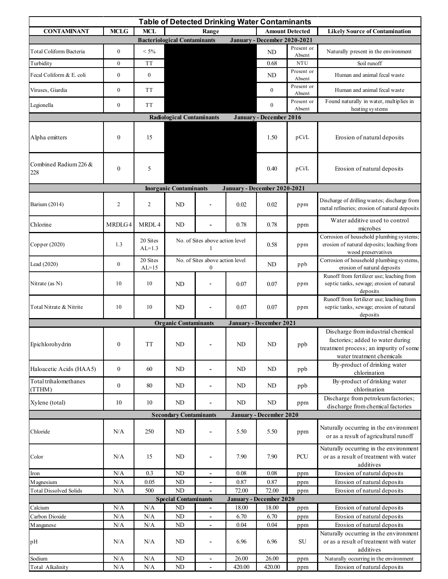| <b>Table of Detected Drinking Water Contaminants</b> |                  |                                                    |                                                 |                                 |          |                                |                                       |                                                                                                                                               |  |  |  |
|------------------------------------------------------|------------------|----------------------------------------------------|-------------------------------------------------|---------------------------------|----------|--------------------------------|---------------------------------------|-----------------------------------------------------------------------------------------------------------------------------------------------|--|--|--|
| <b>CONTAMINANT</b>                                   | <b>MCLG</b>      | <b>MCL</b>                                         |                                                 | <b>Amount Detected</b><br>Range |          |                                | <b>Likely Source of Contamination</b> |                                                                                                                                               |  |  |  |
|                                                      |                  |                                                    | <b>Bacteriological Contaminants</b>             |                                 |          | January - December 2020-2021   |                                       |                                                                                                                                               |  |  |  |
| Total Coliform Bacteria                              | $\boldsymbol{0}$ | $< 5\%$                                            |                                                 |                                 |          | ND                             | Present or                            | Naturally present in the environment                                                                                                          |  |  |  |
| Turbidity                                            | $\mathbf{0}$     | <b>TT</b>                                          |                                                 |                                 |          | 0.68                           | Absent<br><b>NTU</b>                  | Soil runoff                                                                                                                                   |  |  |  |
| Fecal Coliform & E. coli                             | $\boldsymbol{0}$ | $\boldsymbol{0}$                                   |                                                 |                                 |          | ND                             | Present or                            | Human and animal fecal waste                                                                                                                  |  |  |  |
| Viruses, Giardia                                     | $\boldsymbol{0}$ | <b>TT</b>                                          |                                                 |                                 |          | $\boldsymbol{0}$               | Absent<br>Present or                  | Human and animal fecal waste                                                                                                                  |  |  |  |
| Legionella                                           | $\boldsymbol{0}$ | <b>TT</b>                                          |                                                 |                                 |          | $\boldsymbol{0}$               | Absent<br>Present or                  | Found naturally in water, multiplies in                                                                                                       |  |  |  |
|                                                      |                  |                                                    |                                                 |                                 |          |                                | Absent                                | heating systems                                                                                                                               |  |  |  |
|                                                      |                  |                                                    | <b>Radiological Contaminants</b>                |                                 |          | <b>January - December 2016</b> |                                       |                                                                                                                                               |  |  |  |
| Alpha emitters                                       | $\boldsymbol{0}$ | 15                                                 |                                                 |                                 |          | 1.50                           | pCi/L                                 | Erosion of natural deposits                                                                                                                   |  |  |  |
| Combined Radium 226 &<br>228                         | $\boldsymbol{0}$ | 5                                                  |                                                 |                                 |          | 0.40                           | pCi/L                                 | Erosion of natural deposits                                                                                                                   |  |  |  |
|                                                      |                  |                                                    | <b>Inorganic Contaminants</b>                   |                                 |          | January - December 2020-2021   |                                       |                                                                                                                                               |  |  |  |
| Barium (2014)                                        | $\overline{2}$   | $\overline{c}$                                     | ND                                              |                                 | 0.02     | 0.02                           | ppm                                   | Discharge of drilling wastes; discharge from<br>metal refineries; erosion of natural deposits                                                 |  |  |  |
| Chlorine                                             | MRDLG4           | MRDL4                                              | ND                                              |                                 | 0.78     | 0.78                           | ppm                                   | Water additive used to control<br>microbes                                                                                                    |  |  |  |
| Copper (2020)                                        | 1.3              | 20 Sites<br>$AL=1.3$                               | No. of Sites above action level<br>1            |                                 |          | 0.58                           | ppm                                   | Corrosion of household plumbing systems;<br>erosion of natural deposits; leaching from<br>wood preservatives                                  |  |  |  |
| Lead (2020)                                          | $\boldsymbol{0}$ | 20 Sites<br>$AL=15$                                | No. of Sites above action level<br>$\mathbf{0}$ |                                 |          | ND                             | ppb                                   | Corrosion of household plumbing systems,<br>erosion of natural deposits                                                                       |  |  |  |
| Nitrate (as N)                                       | 10               | 10                                                 | ND                                              |                                 | 0.07     | 0.07                           | ppm                                   | Runoff from fertilizer use; leaching from<br>septic tanks, sewage; erosion of natural<br>deposits                                             |  |  |  |
| Total Nitrate & Nitrite                              | 10               | 10                                                 | ND                                              |                                 | 0.07     | 0.07                           | ppm                                   | Runoff from fertilizer use; leaching from<br>septic tanks, sewage; erosion of natural<br>deposits                                             |  |  |  |
|                                                      |                  |                                                    | <b>Organic Contaminants</b>                     |                                 |          | <b>January - December 2021</b> |                                       |                                                                                                                                               |  |  |  |
| Epichlorohydrin                                      | $\boldsymbol{0}$ | $\ensuremath{\mathcal{T}}\ensuremath{\mathcal{T}}$ | $\rm ND$                                        |                                 | $\rm ND$ | $\rm ND$                       | ppb                                   | Discharge from industrial chemical<br>factories; added to water during<br>treatment process; an impurity of some<br>water treatment chemicals |  |  |  |
| Haloacetic Acids (HAA5)                              | $\boldsymbol{0}$ | 60                                                 | $\rm ND$                                        |                                 | ND       | ND                             | ppb                                   | By-product of drinking water<br>chlorination                                                                                                  |  |  |  |
| Total trihalomethanes<br>(TTHM)                      | $\boldsymbol{0}$ | $80\,$                                             | $\rm ND$                                        | $\blacksquare$                  | ND       | ND                             | ppb                                   | By-product of drinking water<br>chlorination                                                                                                  |  |  |  |
| Xylene (total)                                       | 10               | 10                                                 | ND                                              |                                 | ND       | ND                             | ppm                                   | Discharge from petroleum factories;<br>discharge from chemical factories                                                                      |  |  |  |
|                                                      |                  |                                                    | <b>Secondary Contaminants</b>                   |                                 |          | January - December 2020        |                                       |                                                                                                                                               |  |  |  |
| Chloride                                             | N/A              | 250                                                | ${\rm ND}$                                      |                                 | 5.50     | 5.50                           | ppm                                   | Naturally occurring in the environment<br>or as a result of agricultural runoff                                                               |  |  |  |
| Color                                                | N/A              | 15                                                 | ND                                              | $\blacksquare$                  | 7.90     | 7.90                           | ${\mbox{PCU}}$                        | Naturally occurring in the environment<br>or as a result of treatment with water<br>additives                                                 |  |  |  |
| Iron                                                 | N/A              | 0.3                                                | ${\rm ND}$                                      | $\blacksquare$                  | 0.08     | 0.08                           | ppm                                   | Erosion of natural deposits                                                                                                                   |  |  |  |
| Magnesium                                            | N/A              | 0.05                                               | ND                                              | $\blacksquare$                  | 0.87     | 0.87                           | ppm                                   | Erosion of natural deposits                                                                                                                   |  |  |  |
| <b>Total Dissolved Solids</b>                        | $\rm N/A$        | 500                                                | $\rm ND$                                        | $\blacksquare$                  | 72.00    | 72.00                          | ppm                                   | Erosion of natural deposits                                                                                                                   |  |  |  |
|                                                      |                  |                                                    | <b>Special Contaminants</b>                     |                                 |          | January - December 2020        |                                       |                                                                                                                                               |  |  |  |
| Calcium                                              | N/A              | N/A                                                | ND                                              |                                 | 18.00    | 18.00                          | ppm                                   | Erosion of natural deposits                                                                                                                   |  |  |  |
| Carbon Dioxide                                       | N/A              | $\rm N/A$                                          | $\rm ND$                                        | -                               | 6.70     | 6.70                           | ppm                                   | Erosion of natural deposits                                                                                                                   |  |  |  |
| M anganese                                           | N/A              | N/A                                                | ND                                              |                                 | 0.04     | 0.04                           | ppm                                   | Erosion of natural deposits                                                                                                                   |  |  |  |
| pH                                                   | N/A              | N/A                                                | $\rm ND$                                        |                                 | 6.96     | 6.96                           | ${\rm SU}$                            | Naturally occurring in the environment<br>or as a result of treatment with water<br>additives                                                 |  |  |  |
| Sodium                                               | $\rm N/A$        | $\rm N/A$                                          | $\mbox{\sc ND}$                                 |                                 | 26.00    | 26.00                          | ppm                                   | Naturally occurring in the environment                                                                                                        |  |  |  |
| Total Alkalinity                                     | $\rm N/A$        | $\rm N/A$                                          | $\rm ND$                                        |                                 | 420.00   | 420.00                         | ppm                                   | Erosion of natural deposits                                                                                                                   |  |  |  |